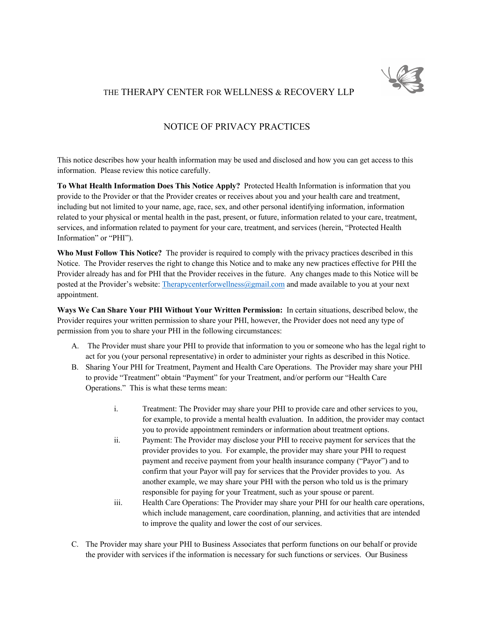

# THE THERAPY CENTER FOR WELLNESS & RECOVERY LLP

# NOTICE OF PRIVACY PRACTICES

This notice describes how your health information may be used and disclosed and how you can get access to this information. Please review this notice carefully.

**To What Health Information Does This Notice Apply?** Protected Health Information is information that you provide to the Provider or that the Provider creates or receives about you and your health care and treatment, including but not limited to your name, age, race, sex, and other personal identifying information, information related to your physical or mental health in the past, present, or future, information related to your care, treatment, services, and information related to payment for your care, treatment, and services (herein, "Protected Health Information" or "PHI").

**Who Must Follow This Notice?** The provider is required to comply with the privacy practices described in this Notice. The Provider reserves the right to change this Notice and to make any new practices effective for PHI the Provider already has and for PHI that the Provider receives in the future. Any changes made to this Notice will be posted at the Provider's website: Therapycenterforwellness@gmail.com and made available to you at your next appointment.

**Ways We Can Share Your PHI Without Your Written Permission:** In certain situations, described below, the Provider requires your written permission to share your PHI, however, the Provider does not need any type of permission from you to share your PHI in the following circumstances:

- A. The Provider must share your PHI to provide that information to you or someone who has the legal right to act for you (your personal representative) in order to administer your rights as described in this Notice.
- B. Sharing Your PHI for Treatment, Payment and Health Care Operations. The Provider may share your PHI to provide "Treatment" obtain "Payment" for your Treatment, and/or perform our "Health Care Operations." This is what these terms mean:
	- i. Treatment: The Provider may share your PHI to provide care and other services to you, for example, to provide a mental health evaluation. In addition, the provider may contact you to provide appointment reminders or information about treatment options.
	- ii. Payment: The Provider may disclose your PHI to receive payment for services that the provider provides to you. For example, the provider may share your PHI to request payment and receive payment from your health insurance company ("Payor") and to confirm that your Payor will pay for services that the Provider provides to you. As another example, we may share your PHI with the person who told us is the primary responsible for paying for your Treatment, such as your spouse or parent.
	- iii. Health Care Operations: The Provider may share your PHI for our health care operations, which include management, care coordination, planning, and activities that are intended to improve the quality and lower the cost of our services.
- C. The Provider may share your PHI to Business Associates that perform functions on our behalf or provide the provider with services if the information is necessary for such functions or services. Our Business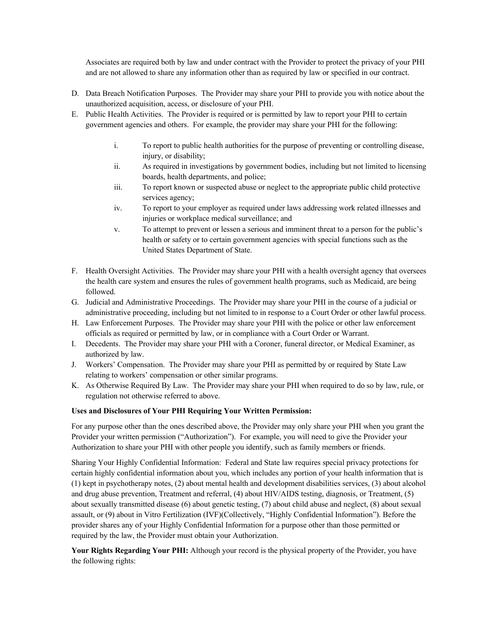Associates are required both by law and under contract with the Provider to protect the privacy of your PHI and are not allowed to share any information other than as required by law or specified in our contract.

- D. Data Breach Notification Purposes. The Provider may share your PHI to provide you with notice about the unauthorized acquisition, access, or disclosure of your PHI.
- E. Public Health Activities. The Provider is required or is permitted by law to report your PHI to certain government agencies and others. For example, the provider may share your PHI for the following:
	- i. To report to public health authorities for the purpose of preventing or controlling disease, injury, or disability;
	- ii. As required in investigations by government bodies, including but not limited to licensing boards, health departments, and police;
	- iii. To report known or suspected abuse or neglect to the appropriate public child protective services agency;
	- iv. To report to your employer as required under laws addressing work related illnesses and injuries or workplace medical surveillance; and
	- v. To attempt to prevent or lessen a serious and imminent threat to a person for the public's health or safety or to certain government agencies with special functions such as the United States Department of State.
- F. Health Oversight Activities. The Provider may share your PHI with a health oversight agency that oversees the health care system and ensures the rules of government health programs, such as Medicaid, are being followed.
- G. Judicial and Administrative Proceedings. The Provider may share your PHI in the course of a judicial or administrative proceeding, including but not limited to in response to a Court Order or other lawful process.
- H. Law Enforcement Purposes. The Provider may share your PHI with the police or other law enforcement officials as required or permitted by law, or in compliance with a Court Order or Warrant.
- I. Decedents. The Provider may share your PHI with a Coroner, funeral director, or Medical Examiner, as authorized by law.
- J. Workers' Compensation. The Provider may share your PHI as permitted by or required by State Law relating to workers' compensation or other similar programs.
- K. As Otherwise Required By Law. The Provider may share your PHI when required to do so by law, rule, or regulation not otherwise referred to above.

# **Uses and Disclosures of Your PHI Requiring Your Written Permission:**

For any purpose other than the ones described above, the Provider may only share your PHI when you grant the Provider your written permission ("Authorization"). For example, you will need to give the Provider your Authorization to share your PHI with other people you identify, such as family members or friends.

Sharing Your Highly Confidential Information: Federal and State law requires special privacy protections for certain highly confidential information about you, which includes any portion of your health information that is (1) kept in psychotherapy notes, (2) about mental health and development disabilities services, (3) about alcohol and drug abuse prevention, Treatment and referral, (4) about HIV/AIDS testing, diagnosis, or Treatment, (5) about sexually transmitted disease (6) about genetic testing, (7) about child abuse and neglect, (8) about sexual assault, or (9) about in Vitro Fertilization (IVF)(Collectively, "Highly Confidential Information"). Before the provider shares any of your Highly Confidential Information for a purpose other than those permitted or required by the law, the Provider must obtain your Authorization.

**Your Rights Regarding Your PHI:** Although your record is the physical property of the Provider, you have the following rights: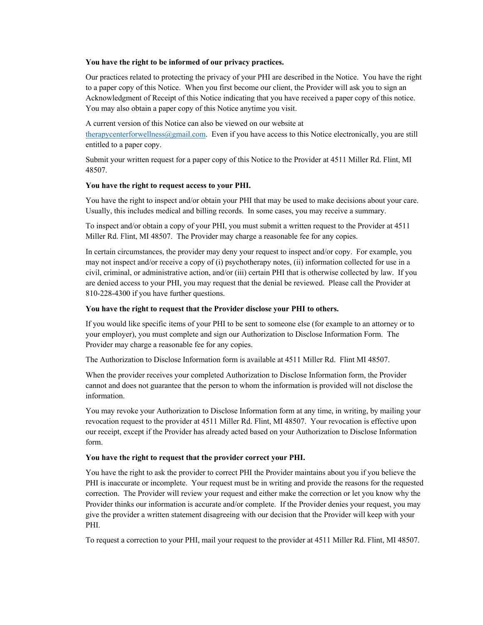#### **You have the right to be informed of our privacy practices.**

Our practices related to protecting the privacy of your PHI are described in the Notice. You have the right to a paper copy of this Notice. When you first become our client, the Provider will ask you to sign an Acknowledgment of Receipt of this Notice indicating that you have received a paper copy of this notice. You may also obtain a paper copy of this Notice anytime you visit.

A current version of this Notice can also be viewed on our website at therapycenterforwellness@gmail.com. Even if you have access to this Notice electronically, you are still entitled to a paper copy.

Submit your written request for a paper copy of this Notice to the Provider at 4511 Miller Rd. Flint, MI 48507.

### **You have the right to request access to your PHI.**

You have the right to inspect and/or obtain your PHI that may be used to make decisions about your care. Usually, this includes medical and billing records. In some cases, you may receive a summary.

To inspect and/or obtain a copy of your PHI, you must submit a written request to the Provider at 4511 Miller Rd. Flint, MI 48507. The Provider may charge a reasonable fee for any copies.

In certain circumstances, the provider may deny your request to inspect and/or copy. For example, you may not inspect and/or receive a copy of (i) psychotherapy notes, (ii) information collected for use in a civil, criminal, or administrative action, and/or (iii) certain PHI that is otherwise collected by law. If you are denied access to your PHI, you may request that the denial be reviewed. Please call the Provider at 810-228-4300 if you have further questions.

### **You have the right to request that the Provider disclose your PHI to others.**

If you would like specific items of your PHI to be sent to someone else (for example to an attorney or to your employer), you must complete and sign our Authorization to Disclose Information Form. The Provider may charge a reasonable fee for any copies.

The Authorization to Disclose Information form is available at 4511 Miller Rd. Flint MI 48507.

When the provider receives your completed Authorization to Disclose Information form, the Provider cannot and does not guarantee that the person to whom the information is provided will not disclose the information.

You may revoke your Authorization to Disclose Information form at any time, in writing, by mailing your revocation request to the provider at 4511 Miller Rd. Flint, MI 48507. Your revocation is effective upon our receipt, except if the Provider has already acted based on your Authorization to Disclose Information form.

#### **You have the right to request that the provider correct your PHI.**

You have the right to ask the provider to correct PHI the Provider maintains about you if you believe the PHI is inaccurate or incomplete. Your request must be in writing and provide the reasons for the requested correction. The Provider will review your request and either make the correction or let you know why the Provider thinks our information is accurate and/or complete. If the Provider denies your request, you may give the provider a written statement disagreeing with our decision that the Provider will keep with your PHI.

To request a correction to your PHI, mail your request to the provider at 4511 Miller Rd. Flint, MI 48507.